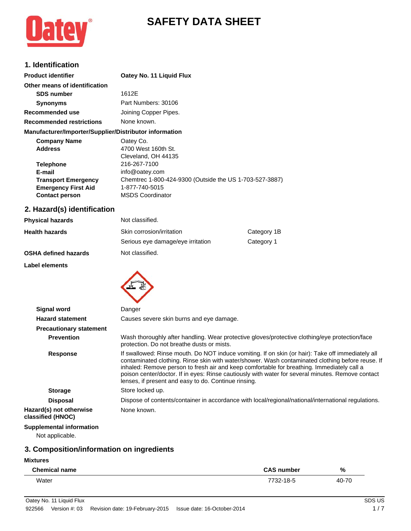# **SAFETY DATA SHEET**



### **1. Identification**

| <b>Product identifier</b>                              | Oatey No. 11 Liquid Flux                                |
|--------------------------------------------------------|---------------------------------------------------------|
| Other means of identification                          |                                                         |
| <b>SDS number</b>                                      | 1612E                                                   |
| <b>Synonyms</b>                                        | Part Numbers: 30106                                     |
| Recommended use                                        | Joining Copper Pipes.                                   |
| <b>Recommended restrictions</b>                        | None known.                                             |
| Manufacturer/Importer/Supplier/Distributor information |                                                         |
| <b>Company Name</b>                                    | Oatey Co.                                               |
| <b>Address</b>                                         | 4700 West 160th St.                                     |
|                                                        | Cleveland, OH 44135                                     |
| <b>Telephone</b>                                       | 216-267-7100                                            |
| E-mail                                                 | info@oatey.com                                          |
| <b>Transport Emergency</b>                             | Chemtrec 1-800-424-9300 (Outside the US 1-703-527-3887) |
| <b>Emergency First Aid</b>                             | 1-877-740-5015                                          |

### **2. Hazard(s) identification**

**Contact person** MSDS Coordinator

| <b>Physical hazards</b>     | Not classified.                   |             |
|-----------------------------|-----------------------------------|-------------|
| <b>Health hazards</b>       | Skin corrosion/irritation         | Category 1B |
|                             | Serious eye damage/eye irritation | Category 1  |
| <b>OSHA defined hazards</b> | Not classified.                   |             |

#### **Label elements**



| <b>Signal word</b>                                 | Danger                                                                                                                                                                                                                                                                                                                                                                                                                                                           |
|----------------------------------------------------|------------------------------------------------------------------------------------------------------------------------------------------------------------------------------------------------------------------------------------------------------------------------------------------------------------------------------------------------------------------------------------------------------------------------------------------------------------------|
| <b>Hazard statement</b>                            | Causes severe skin burns and eye damage.                                                                                                                                                                                                                                                                                                                                                                                                                         |
| <b>Precautionary statement</b>                     |                                                                                                                                                                                                                                                                                                                                                                                                                                                                  |
| <b>Prevention</b>                                  | Wash thoroughly after handling. Wear protective gloves/protective clothing/eye protection/face<br>protection. Do not breathe dusts or mists.                                                                                                                                                                                                                                                                                                                     |
| Response                                           | If swallowed: Rinse mouth. Do NOT induce vomiting. If on skin (or hair): Take off immediately all<br>contaminated clothing. Rinse skin with water/shower. Wash contaminated clothing before reuse. If<br>inhaled: Remove person to fresh air and keep comfortable for breathing. Immediately call a<br>poison center/doctor. If in eyes: Rinse cautiously with water for several minutes. Remove contact<br>lenses, if present and easy to do. Continue rinsing. |
| <b>Storage</b>                                     | Store locked up.                                                                                                                                                                                                                                                                                                                                                                                                                                                 |
| <b>Disposal</b>                                    | Dispose of contents/container in accordance with local/regional/national/international regulations.                                                                                                                                                                                                                                                                                                                                                              |
| Hazard(s) not otherwise<br>classified (HNOC)       | None known.                                                                                                                                                                                                                                                                                                                                                                                                                                                      |
| <b>Supplemental information</b><br>Not applicable. |                                                                                                                                                                                                                                                                                                                                                                                                                                                                  |

# **3. Composition/information on ingredients**

#### **Mixtures**

| <b>Chemical name</b> | <b>CAS number</b> | %     |
|----------------------|-------------------|-------|
| Water                | 7732-18-5         | 40-70 |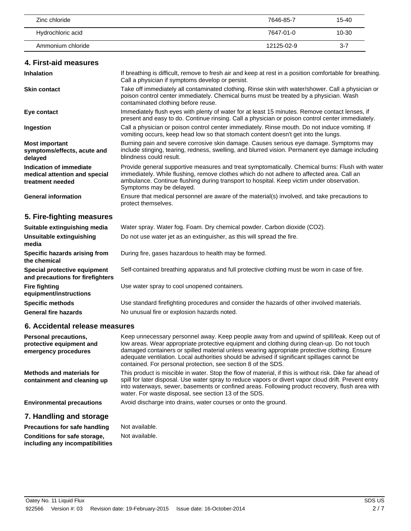| Zinc chloride     | 7646-85-7  | 15-40   |
|-------------------|------------|---------|
| Hydrochloric acid | 7647-01-0  | 10-30   |
| Ammonium chloride | 12125-02-9 | $3 - 7$ |

#### **4. First-aid measures**

| <b>Inhalation</b>                                                            | If breathing is difficult, remove to fresh air and keep at rest in a position comfortable for breathing.<br>Call a physician if symptoms develop or persist.                                                                                                                                                          |
|------------------------------------------------------------------------------|-----------------------------------------------------------------------------------------------------------------------------------------------------------------------------------------------------------------------------------------------------------------------------------------------------------------------|
| <b>Skin contact</b>                                                          | Take off immediately all contaminated clothing. Rinse skin with water/shower. Call a physician or<br>poison control center immediately. Chemical burns must be treated by a physician. Wash<br>contaminated clothing before reuse.                                                                                    |
| Eye contact                                                                  | Immediately flush eyes with plenty of water for at least 15 minutes. Remove contact lenses, if<br>present and easy to do. Continue rinsing. Call a physician or poison control center immediately.                                                                                                                    |
| Ingestion                                                                    | Call a physician or poison control center immediately. Rinse mouth. Do not induce vomiting. If<br>vomiting occurs, keep head low so that stomach content doesn't get into the lungs.                                                                                                                                  |
| <b>Most important</b><br>symptoms/effects, acute and<br>delayed              | Burning pain and severe corrosive skin damage. Causes serious eye damage. Symptoms may<br>include stinging, tearing, redness, swelling, and blurred vision. Permanent eye damage including<br>blindness could result.                                                                                                 |
| Indication of immediate<br>medical attention and special<br>treatment needed | Provide general supportive measures and treat symptomatically. Chemical burns: Flush with water<br>immediately. While flushing, remove clothes which do not adhere to affected area. Call an<br>ambulance. Continue flushing during transport to hospital. Keep victim under observation.<br>Symptoms may be delayed. |
| <b>General information</b>                                                   | Ensure that medical personnel are aware of the material(s) involved, and take precautions to<br>protect themselves.                                                                                                                                                                                                   |
| 5. Fire-fighting measures                                                    |                                                                                                                                                                                                                                                                                                                       |
| Suitable extinguishing media                                                 | Water spray. Water fog. Foam. Dry chemical powder. Carbon dioxide (CO2).                                                                                                                                                                                                                                              |
| Unsuitable extinguishing<br>media                                            | Do not use water jet as an extinguisher, as this will spread the fire.                                                                                                                                                                                                                                                |
| Specific hazards arising from<br>the chemical                                | During fire, gases hazardous to health may be formed.                                                                                                                                                                                                                                                                 |
| Special protective equipment<br>and precautions for firefighters             | Self-contained breathing apparatus and full protective clothing must be worn in case of fire.                                                                                                                                                                                                                         |
| <b>Fire fighting</b><br>equipment/instructions                               | Use water spray to cool unopened containers.                                                                                                                                                                                                                                                                          |
| <b>Specific methods</b>                                                      | Use standard firefighting procedures and consider the hazards of other involved materials.                                                                                                                                                                                                                            |

### **6. Accidental release measures**

| Personal precautions,<br>protective equipment and<br>emergency procedures | Keep unnecessary personnel away. Keep people away from and upwind of spill/leak. Keep out of<br>low areas. Wear appropriate protective equipment and clothing during clean-up. Do not touch<br>damaged containers or spilled material unless wearing appropriate protective clothing. Ensure<br>adequate ventilation. Local authorities should be advised if significant spillages cannot be<br>contained. For personal protection, see section 8 of the SDS. |
|---------------------------------------------------------------------------|---------------------------------------------------------------------------------------------------------------------------------------------------------------------------------------------------------------------------------------------------------------------------------------------------------------------------------------------------------------------------------------------------------------------------------------------------------------|
| Methods and materials for<br>containment and cleaning up                  | This product is miscible in water. Stop the flow of material, if this is without risk. Dike far ahead of<br>spill for later disposal. Use water spray to reduce vapors or divert vapor cloud drift. Prevent entry<br>into waterways, sewer, basements or confined areas. Following product recovery, flush area with<br>water. For waste disposal, see section 13 of the SDS.                                                                                 |
| <b>Environmental precautions</b>                                          | Avoid discharge into drains, water courses or onto the ground.                                                                                                                                                                                                                                                                                                                                                                                                |
| 7. Handling and storage                                                   |                                                                                                                                                                                                                                                                                                                                                                                                                                                               |

**Precautions for safe handling** Not available. **Conditions for safe storage, including any incompatibilities**

Not available.

General fire hazards **No unusual fire or explosion hazards noted.**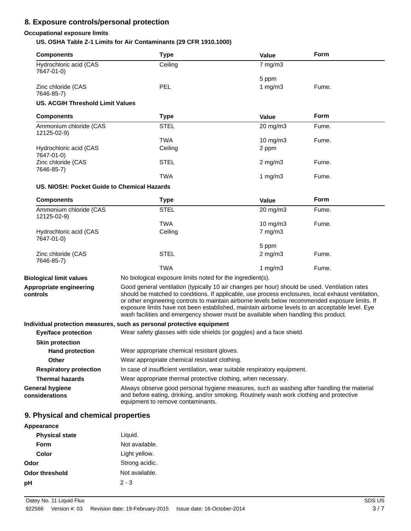## **8. Exposure controls/personal protection**

### **Occupational exposure limits**

**US. OSHA Table Z-1 Limits for Air Contaminants (29 CFR 1910.1000)**

| <b>Components</b>                           | <b>Type</b>                                                                                                                                                                                                                                                                                                                                                                                                                                                                                      | <b>Value</b>                                                              | Form        |
|---------------------------------------------|--------------------------------------------------------------------------------------------------------------------------------------------------------------------------------------------------------------------------------------------------------------------------------------------------------------------------------------------------------------------------------------------------------------------------------------------------------------------------------------------------|---------------------------------------------------------------------------|-------------|
| Hydrochloric acid (CAS<br>7647-01-0)        | Ceiling                                                                                                                                                                                                                                                                                                                                                                                                                                                                                          | $7$ mg/m $3$                                                              |             |
| Zinc chloride (CAS<br>7646-85-7)            | <b>PEL</b>                                                                                                                                                                                                                                                                                                                                                                                                                                                                                       | 5 ppm<br>1 mg/m $3$                                                       | Fume.       |
| <b>US. ACGIH Threshold Limit Values</b>     |                                                                                                                                                                                                                                                                                                                                                                                                                                                                                                  |                                                                           |             |
| <b>Components</b>                           | <b>Type</b>                                                                                                                                                                                                                                                                                                                                                                                                                                                                                      | Value                                                                     | <b>Form</b> |
| Ammonium chloride (CAS<br>12125-02-9)       | <b>STEL</b>                                                                                                                                                                                                                                                                                                                                                                                                                                                                                      | 20 mg/m3                                                                  | Fume.       |
| Hydrochloric acid (CAS                      | <b>TWA</b><br>Ceiling                                                                                                                                                                                                                                                                                                                                                                                                                                                                            | $10$ mg/m $3$<br>2 ppm                                                    | Fume.       |
| 7647-01-0)<br>Zinc chloride (CAS            | <b>STEL</b>                                                                                                                                                                                                                                                                                                                                                                                                                                                                                      | $2 \text{ mg/m}$                                                          | Fume.       |
| 7646-85-7)                                  | TWA                                                                                                                                                                                                                                                                                                                                                                                                                                                                                              | 1 $mg/m3$                                                                 | Fume.       |
| US. NIOSH: Pocket Guide to Chemical Hazards |                                                                                                                                                                                                                                                                                                                                                                                                                                                                                                  |                                                                           |             |
| <b>Components</b>                           | <b>Type</b>                                                                                                                                                                                                                                                                                                                                                                                                                                                                                      | <b>Value</b>                                                              | <b>Form</b> |
| Ammonium chloride (CAS<br>12125-02-9)       | <b>STEL</b>                                                                                                                                                                                                                                                                                                                                                                                                                                                                                      | $20 \text{ mg/m}$ 3                                                       | Fume.       |
|                                             | <b>TWA</b>                                                                                                                                                                                                                                                                                                                                                                                                                                                                                       | 10 mg/m3                                                                  | Fume.       |
| Hydrochloric acid (CAS<br>7647-01-0)        | Ceiling                                                                                                                                                                                                                                                                                                                                                                                                                                                                                          | $7$ mg/m $3$                                                              |             |
| Zinc chloride (CAS                          | <b>STEL</b>                                                                                                                                                                                                                                                                                                                                                                                                                                                                                      | 5 ppm<br>$2$ mg/m $3$                                                     | Fume.       |
| 7646-85-7)                                  | <b>TWA</b>                                                                                                                                                                                                                                                                                                                                                                                                                                                                                       | 1 $mg/m3$                                                                 | Fume.       |
| <b>Biological limit values</b>              | No biological exposure limits noted for the ingredient(s).                                                                                                                                                                                                                                                                                                                                                                                                                                       |                                                                           |             |
| Appropriate engineering<br>controls         | Good general ventilation (typically 10 air changes per hour) should be used. Ventilation rates<br>should be matched to conditions. If applicable, use process enclosures, local exhaust ventilation,<br>or other engineering controls to maintain airborne levels below recommended exposure limits. If<br>exposure limits have not been established, maintain airborne levels to an acceptable level. Eye<br>wash facilities and emergency shower must be available when handling this product. |                                                                           |             |
|                                             | Individual protection measures, such as personal protective equipment                                                                                                                                                                                                                                                                                                                                                                                                                            |                                                                           |             |
| <b>Eye/face protection</b>                  | Wear safety glasses with side shields (or goggles) and a face shield.                                                                                                                                                                                                                                                                                                                                                                                                                            |                                                                           |             |
| <b>Skin protection</b>                      |                                                                                                                                                                                                                                                                                                                                                                                                                                                                                                  |                                                                           |             |
| <b>Hand protection</b>                      | Wear appropriate chemical resistant gloves.                                                                                                                                                                                                                                                                                                                                                                                                                                                      |                                                                           |             |
| <b>Other</b>                                | Wear appropriate chemical resistant clothing.                                                                                                                                                                                                                                                                                                                                                                                                                                                    |                                                                           |             |
| <b>Respiratory protection</b>               |                                                                                                                                                                                                                                                                                                                                                                                                                                                                                                  | In case of insufficient ventilation, wear suitable respiratory equipment. |             |
| <b>Thermal hazards</b>                      | Wear appropriate thermal protective clothing, when necessary.                                                                                                                                                                                                                                                                                                                                                                                                                                    |                                                                           |             |
| <b>General hygiene</b><br>considerations    | Always observe good personal hygiene measures, such as washing after handling the material<br>and before eating, drinking, and/or smoking. Routinely wash work clothing and protective<br>equipment to remove contaminants.                                                                                                                                                                                                                                                                      |                                                                           |             |

### **9. Physical and chemical properties**

| Appearance            |                |
|-----------------------|----------------|
| <b>Physical state</b> | Liquid.        |
| <b>Form</b>           | Not available. |
| Color                 | Light yellow.  |
| Odor                  | Strong acidic. |
| <b>Odor threshold</b> | Not available. |
| рH                    | $2 - 3$        |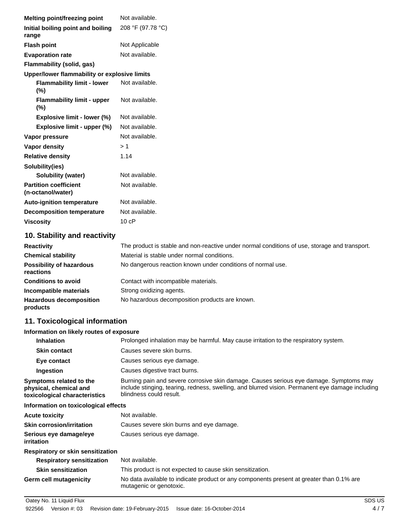| Melting point/freezing point                      | Not available.    |
|---------------------------------------------------|-------------------|
| Initial boiling point and boiling<br>range        | 208 °F (97.78 °C) |
| <b>Flash point</b>                                | Not Applicable    |
| <b>Evaporation rate</b>                           | Not available.    |
| Flammability (solid, gas)                         |                   |
| Upper/lower flammability or explosive limits      |                   |
| <b>Flammability limit - lower</b><br>$(\% )$      | Not available.    |
| <b>Flammability limit - upper</b><br>(%)          | Not available.    |
| <b>Explosive limit - lower (%)</b>                | Not available.    |
| Explosive limit - upper (%)                       | Not available.    |
| Vapor pressure                                    | Not available.    |
| <b>Vapor density</b>                              | > 1               |
| <b>Relative density</b>                           | 1.14              |
| Solubility(ies)                                   |                   |
| Solubility (water)                                | Not available.    |
| <b>Partition coefficient</b><br>(n-octanol/water) | Not available.    |
| <b>Auto-ignition temperature</b>                  | Not available.    |
| <b>Decomposition temperature</b>                  | Not available.    |
| <b>Viscosity</b>                                  | 10cP              |

### **10. Stability and reactivity**

| <b>Reactivity</b>                            | The product is stable and non-reactive under normal conditions of use, storage and transport. |
|----------------------------------------------|-----------------------------------------------------------------------------------------------|
| <b>Chemical stability</b>                    | Material is stable under normal conditions.                                                   |
| <b>Possibility of hazardous</b><br>reactions | No dangerous reaction known under conditions of normal use.                                   |
| <b>Conditions to avoid</b>                   | Contact with incompatible materials.                                                          |
| Incompatible materials                       | Strong oxidizing agents.                                                                      |
| <b>Hazardous decomposition</b><br>products   | No hazardous decomposition products are known.                                                |

# **11. Toxicological information**

### **Information on likely routes of exposure**

| <b>Inhalation</b>                                                                  | Prolonged inhalation may be harmful. May cause irritation to the respiratory system.                                                                                                                                  |
|------------------------------------------------------------------------------------|-----------------------------------------------------------------------------------------------------------------------------------------------------------------------------------------------------------------------|
| <b>Skin contact</b>                                                                | Causes severe skin burns.                                                                                                                                                                                             |
| Eye contact                                                                        | Causes serious eye damage.                                                                                                                                                                                            |
| Ingestion                                                                          | Causes digestive tract burns.                                                                                                                                                                                         |
| Symptoms related to the<br>physical, chemical and<br>toxicological characteristics | Burning pain and severe corrosive skin damage. Causes serious eye damage. Symptoms may<br>include stinging, tearing, redness, swelling, and blurred vision. Permanent eye damage including<br>blindness could result. |
| Information on toxicological effects                                               |                                                                                                                                                                                                                       |
| <b>Acute toxicity</b>                                                              | Not available.                                                                                                                                                                                                        |
| <b>Skin corrosion/irritation</b>                                                   | Causes severe skin burns and eye damage.                                                                                                                                                                              |
| Serious eye damage/eye<br><i>irritation</i>                                        | Causes serious eye damage.                                                                                                                                                                                            |
| Respiratory or skin sensitization                                                  |                                                                                                                                                                                                                       |
| <b>Respiratory sensitization</b>                                                   | Not available.                                                                                                                                                                                                        |
| <b>Skin sensitization</b>                                                          | This product is not expected to cause skin sensitization.                                                                                                                                                             |
| <b>Germ cell mutagenicity</b>                                                      | No data available to indicate product or any components present at greater than 0.1% are<br>mutagenic or genotoxic.                                                                                                   |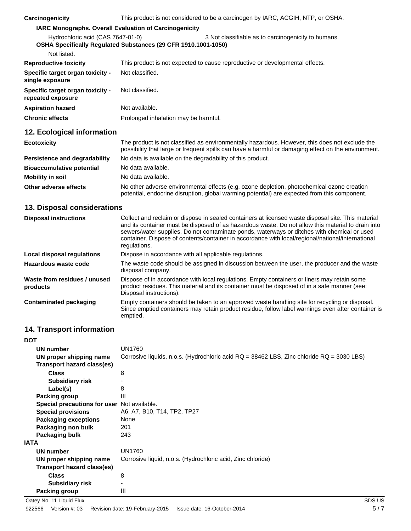| Carcinogenicity                                                                                     | This product is not considered to be a carcinogen by IARC, ACGIH, NTP, or OSHA. |                                                     |  |
|-----------------------------------------------------------------------------------------------------|---------------------------------------------------------------------------------|-----------------------------------------------------|--|
| <b>IARC Monographs. Overall Evaluation of Carcinogenicity</b>                                       |                                                                                 |                                                     |  |
| Hydrochloric acid (CAS 7647-01-0)<br>OSHA Specifically Regulated Substances (29 CFR 1910.1001-1050) |                                                                                 | 3 Not classifiable as to carcinogenicity to humans. |  |
| Not listed.                                                                                         |                                                                                 |                                                     |  |
| <b>Reproductive toxicity</b>                                                                        | This product is not expected to cause reproductive or developmental effects.    |                                                     |  |
| Specific target organ toxicity -<br>single exposure                                                 | Not classified.                                                                 |                                                     |  |
| Specific target organ toxicity -<br>repeated exposure                                               | Not classified.                                                                 |                                                     |  |
| <b>Aspiration hazard</b>                                                                            | Not available.                                                                  |                                                     |  |
| <b>Chronic effects</b>                                                                              | Prolonged inhalation may be harmful.                                            |                                                     |  |

### **12. Ecological information**

| <b>Ecotoxicity</b>               | The product is not classified as environmentally hazardous. However, this does not exclude the<br>possibility that large or frequent spills can have a harmful or damaging effect on the environment. |
|----------------------------------|-------------------------------------------------------------------------------------------------------------------------------------------------------------------------------------------------------|
| Persistence and degradability    | No data is available on the degradability of this product.                                                                                                                                            |
| <b>Bioaccumulative potential</b> | No data available.                                                                                                                                                                                    |
| <b>Mobility in soil</b>          | No data available.                                                                                                                                                                                    |
| Other adverse effects            | No other adverse environmental effects (e.g. ozone depletion, photochemical ozone creation<br>potential, endocrine disruption, global warming potential) are expected from this component.            |

# **13. Disposal considerations**

| <b>Disposal instructions</b>             | Collect and reclaim or dispose in sealed containers at licensed waste disposal site. This material<br>and its container must be disposed of as hazardous waste. Do not allow this material to drain into<br>sewers/water supplies. Do not contaminate ponds, waterways or ditches with chemical or used<br>container. Dispose of contents/container in accordance with local/regional/national/international<br>regulations. |
|------------------------------------------|------------------------------------------------------------------------------------------------------------------------------------------------------------------------------------------------------------------------------------------------------------------------------------------------------------------------------------------------------------------------------------------------------------------------------|
| Local disposal regulations               | Dispose in accordance with all applicable regulations.                                                                                                                                                                                                                                                                                                                                                                       |
| Hazardous waste code                     | The waste code should be assigned in discussion between the user, the producer and the waste<br>disposal company.                                                                                                                                                                                                                                                                                                            |
| Waste from residues / unused<br>products | Dispose of in accordance with local regulations. Empty containers or liners may retain some<br>product residues. This material and its container must be disposed of in a safe manner (see:<br>Disposal instructions).                                                                                                                                                                                                       |
| <b>Contaminated packaging</b>            | Empty containers should be taken to an approved waste handling site for recycling or disposal.<br>Since emptied containers may retain product residue, follow label warnings even after container is<br>emptied.                                                                                                                                                                                                             |

# **14. Transport information**

| <b>DOT</b>                                  |                                                                                           |
|---------------------------------------------|-------------------------------------------------------------------------------------------|
| UN number                                   | <b>UN1760</b>                                                                             |
| UN proper shipping name                     | Corrosive liquids, n.o.s. (Hydrochloric acid RQ = 38462 LBS, Zinc chloride RQ = 3030 LBS) |
| Transport hazard class(es)                  |                                                                                           |
| <b>Class</b>                                | 8                                                                                         |
| <b>Subsidiary risk</b>                      |                                                                                           |
| Label(s)                                    | 8                                                                                         |
| Packing group                               | $\mathbf{III}$                                                                            |
| Special precautions for user Not available. |                                                                                           |
| <b>Special provisions</b>                   | A6, A7, B10, T14, TP2, TP27                                                               |
| <b>Packaging exceptions</b>                 | None                                                                                      |
| Packaging non bulk                          | 201                                                                                       |
| Packaging bulk                              | 243                                                                                       |
| <b>IATA</b>                                 |                                                                                           |
| UN number                                   | <b>UN1760</b>                                                                             |
| UN proper shipping name                     | Corrosive liquid, n.o.s. (Hydrochloric acid, Zinc chloride)                               |
| Transport hazard class(es)                  |                                                                                           |
| <b>Class</b>                                | 8                                                                                         |
| <b>Subsidiary risk</b>                      |                                                                                           |
| Packing group                               | Ш                                                                                         |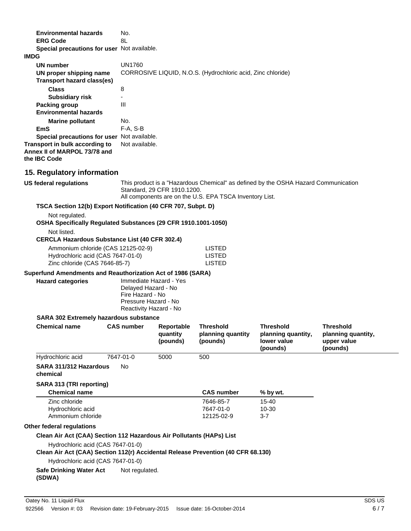| <b>Environmental hazards</b>                                                          | No.                                                                                                                                                                          |
|---------------------------------------------------------------------------------------|------------------------------------------------------------------------------------------------------------------------------------------------------------------------------|
| <b>ERG Code</b>                                                                       | 8L                                                                                                                                                                           |
| Special precautions for user Not available.                                           |                                                                                                                                                                              |
| <b>IMDG</b>                                                                           |                                                                                                                                                                              |
| UN number                                                                             | <b>UN1760</b>                                                                                                                                                                |
| UN proper shipping name<br>Transport hazard class(es)                                 | CORROSIVE LIQUID, N.O.S. (Hydrochloric acid, Zinc chloride)                                                                                                                  |
| <b>Class</b>                                                                          | 8                                                                                                                                                                            |
| <b>Subsidiary risk</b>                                                                |                                                                                                                                                                              |
| Packing group                                                                         | $\mathbf{III}$                                                                                                                                                               |
| <b>Environmental hazards</b>                                                          |                                                                                                                                                                              |
| <b>Marine pollutant</b>                                                               | No.                                                                                                                                                                          |
| <b>EmS</b>                                                                            | F-A, S-B                                                                                                                                                                     |
| Special precautions for user Not available.                                           |                                                                                                                                                                              |
| Transport in bulk according to<br>Annex II of MARPOL 73/78 and<br>the <b>IBC</b> Code | Not available.                                                                                                                                                               |
| 15. Regulatory information                                                            |                                                                                                                                                                              |
| US federal regulations                                                                | This product is a "Hazardous Chemical" as defined by the OSHA Hazard Communication<br>Standard, 29 CFR 1910.1200.<br>All components are on the U.S. EPA TSCA Inventory List. |

**TSCA Section 12(b) Export Notification (40 CFR 707, Subpt. D)**

Not regulated.

**OSHA Specifically Regulated Substances (29 CFR 1910.1001-1050)**

Not listed.

#### **CERCLA Hazardous Substance List (40 CFR 302.4)**

| Ammonium chloride (CAS 12125-02-9) | LISTED |
|------------------------------------|--------|
| Hydrochloric acid (CAS 7647-01-0)  | LISTED |
| Zinc chloride (CAS 7646-85-7)      | LISTED |

#### **Superfund Amendments and Reauthorization Act of 1986 (SARA)**

| <b>Hazard categories</b> | Immediate Hazard - Yes<br>Delayed Hazard - No<br>Fire Hazard - No |
|--------------------------|-------------------------------------------------------------------|
|                          | Pressure Hazard - No<br>Reactivity Hazard - No                    |

#### **SARA 302 Extremely hazardous substance**

| <b>Chemical name</b>                                                                                                                                                                                                                                                           | <b>CAS number</b> | Reportable<br>quantity<br>(pounds) | <b>Threshold</b><br>planning quantity<br>(pounds) | <b>Threshold</b><br>planning quantity,<br>lower value<br>(pounds) | <b>Threshold</b><br>planning quantity,<br>upper value<br>(pounds) |
|--------------------------------------------------------------------------------------------------------------------------------------------------------------------------------------------------------------------------------------------------------------------------------|-------------------|------------------------------------|---------------------------------------------------|-------------------------------------------------------------------|-------------------------------------------------------------------|
| Hydrochloric acid                                                                                                                                                                                                                                                              | 7647-01-0         | 5000                               | 500                                               |                                                                   |                                                                   |
| SARA 311/312 Hazardous<br>chemical                                                                                                                                                                                                                                             | No                |                                    |                                                   |                                                                   |                                                                   |
| SARA 313 (TRI reporting)                                                                                                                                                                                                                                                       |                   |                                    |                                                   |                                                                   |                                                                   |
| <b>Chemical name</b>                                                                                                                                                                                                                                                           |                   |                                    | <b>CAS number</b>                                 | % by wt.                                                          |                                                                   |
| Zinc chloride<br>Hydrochloric acid<br>Ammonium chloride                                                                                                                                                                                                                        |                   |                                    | 7646-85-7<br>7647-01-0<br>12125-02-9              | 15-40<br>10-30<br>$3 - 7$                                         |                                                                   |
| Other federal regulations                                                                                                                                                                                                                                                      |                   |                                    |                                                   |                                                                   |                                                                   |
| Clean Air Act (CAA) Section 112 Hazardous Air Pollutants (HAPs) List<br>Hydrochloric acid (CAS 7647-01-0)<br>Clean Air Act (CAA) Section 112(r) Accidental Release Prevention (40 CFR 68.130)<br>Hydrochloric acid (CAS 7647-01-0)<br><b>Safe Drinking Water Act</b><br>(SDWA) | Not regulated.    |                                    |                                                   |                                                                   |                                                                   |